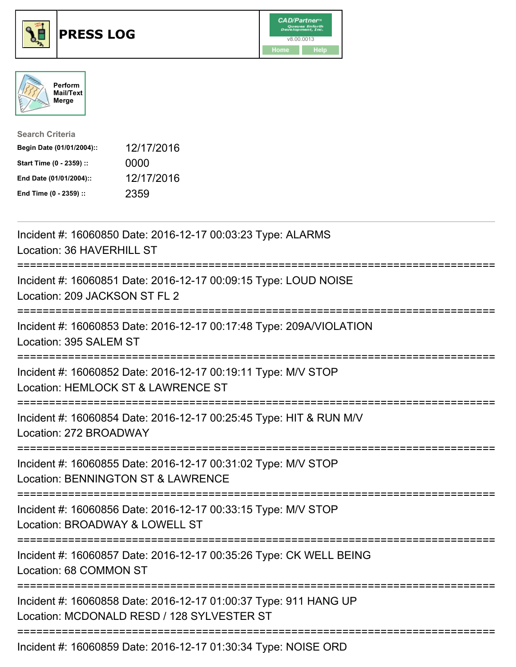





| <b>Search Criteria</b>    |            |
|---------------------------|------------|
| Begin Date (01/01/2004):: | 12/17/2016 |
| Start Time (0 - 2359) ::  | 0000       |
| End Date (01/01/2004)::   | 12/17/2016 |
| End Time (0 - 2359) ::    | 2359       |

| Incident #: 16060850 Date: 2016-12-17 00:03:23 Type: ALARMS<br>Location: 36 HAVERHILL ST                                                        |
|-------------------------------------------------------------------------------------------------------------------------------------------------|
| Incident #: 16060851 Date: 2016-12-17 00:09:15 Type: LOUD NOISE<br>Location: 209 JACKSON ST FL 2                                                |
| Incident #: 16060853 Date: 2016-12-17 00:17:48 Type: 209A/VIOLATION<br>Location: 395 SALEM ST                                                   |
| Incident #: 16060852 Date: 2016-12-17 00:19:11 Type: M/V STOP<br>Location: HEMLOCK ST & LAWRENCE ST                                             |
| Incident #: 16060854 Date: 2016-12-17 00:25:45 Type: HIT & RUN M/V<br>Location: 272 BROADWAY                                                    |
| Incident #: 16060855 Date: 2016-12-17 00:31:02 Type: M/V STOP<br><b>Location: BENNINGTON ST &amp; LAWRENCE</b><br>============================= |
| Incident #: 16060856 Date: 2016-12-17 00:33:15 Type: M/V STOP<br>Location: BROADWAY & LOWELL ST                                                 |
| ;==========================<br>Incident #: 16060857 Date: 2016-12-17 00:35:26 Type: CK WELL BEING<br>Location: 68 COMMON ST                     |
| Incident #: 16060858 Date: 2016-12-17 01:00:37 Type: 911 HANG UP<br>Location: MCDONALD RESD / 128 SYLVESTER ST                                  |
| Incident #: 16060859 Date: 2016-12-17 01:30:34 Type: NOISE ORD                                                                                  |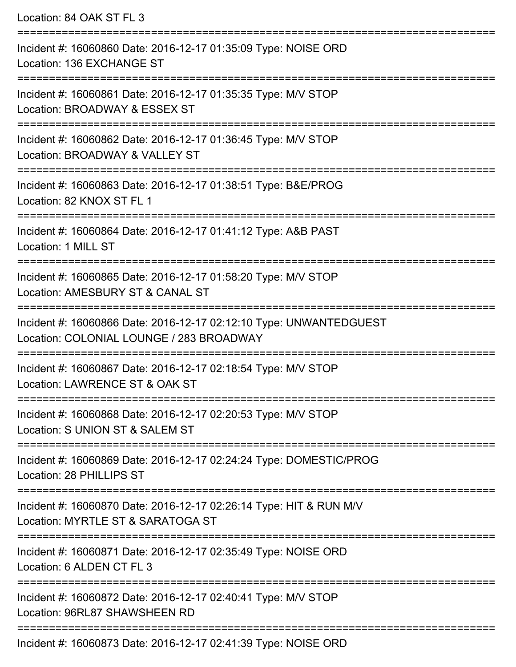Location: 84 OAK ST FL 3 =========================================================================== Incident #: 16060860 Date: 2016-12-17 01:35:09 Type: NOISE ORD Location: 136 EXCHANGE ST =========================================================================== Incident #: 16060861 Date: 2016-12-17 01:35:35 Type: M/V STOP Location: BROADWAY & ESSEX ST =========================================================================== Incident #: 16060862 Date: 2016-12-17 01:36:45 Type: M/V STOP Location: BROADWAY & VALLEY ST =========================================================================== Incident #: 16060863 Date: 2016-12-17 01:38:51 Type: B&E/PROG Location: 82 KNOX ST FL 1 =========================================================================== Incident #: 16060864 Date: 2016-12-17 01:41:12 Type: A&B PAST Location: 1 MILL ST =========================================================================== Incident #: 16060865 Date: 2016-12-17 01:58:20 Type: M/V STOP Location: AMESBURY ST & CANAL ST =========================================================================== Incident #: 16060866 Date: 2016-12-17 02:12:10 Type: UNWANTEDGUEST Location: COLONIAL LOUNGE / 283 BROADWAY =========================================================================== Incident #: 16060867 Date: 2016-12-17 02:18:54 Type: M/V STOP Location: LAWRENCE ST & OAK ST =========================================================================== Incident #: 16060868 Date: 2016-12-17 02:20:53 Type: M/V STOP Location: S UNION ST & SALEM ST =========================================================================== Incident #: 16060869 Date: 2016-12-17 02:24:24 Type: DOMESTIC/PROG Location: 28 PHILLIPS ST =========================================================================== Incident #: 16060870 Date: 2016-12-17 02:26:14 Type: HIT & RUN M/V Location: MYRTLE ST & SARATOGA ST =========================================================================== Incident #: 16060871 Date: 2016-12-17 02:35:49 Type: NOISE ORD Location: 6 ALDEN CT FL 3 =========================================================================== Incident #: 16060872 Date: 2016-12-17 02:40:41 Type: M/V STOP Location: 96RL87 SHAWSHEEN RD =========================================================================== Incident #: 16060873 Date: 2016-12-17 02:41:39 Type: NOISE ORD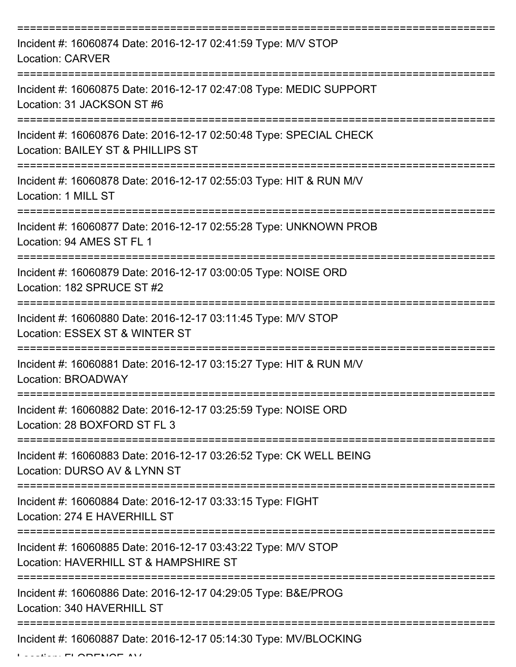| Incident #: 16060874 Date: 2016-12-17 02:41:59 Type: M/V STOP<br><b>Location: CARVER</b>                |
|---------------------------------------------------------------------------------------------------------|
| Incident #: 16060875 Date: 2016-12-17 02:47:08 Type: MEDIC SUPPORT<br>Location: 31 JACKSON ST #6        |
| Incident #: 16060876 Date: 2016-12-17 02:50:48 Type: SPECIAL CHECK<br>Location: BAILEY ST & PHILLIPS ST |
| Incident #: 16060878 Date: 2016-12-17 02:55:03 Type: HIT & RUN M/V<br>Location: 1 MILL ST               |
| Incident #: 16060877 Date: 2016-12-17 02:55:28 Type: UNKNOWN PROB<br>Location: 94 AMES ST FL 1          |
| Incident #: 16060879 Date: 2016-12-17 03:00:05 Type: NOISE ORD<br>Location: 182 SPRUCE ST #2            |
| Incident #: 16060880 Date: 2016-12-17 03:11:45 Type: M/V STOP<br>Location: ESSEX ST & WINTER ST         |
| Incident #: 16060881 Date: 2016-12-17 03:15:27 Type: HIT & RUN M/V<br>Location: BROADWAY                |
| Incident #: 16060882 Date: 2016-12-17 03:25:59 Type: NOISE ORD<br>Location: 28 BOXFORD ST FL 3          |
| Incident #: 16060883 Date: 2016-12-17 03:26:52 Type: CK WELL BEING<br>Location: DURSO AV & LYNN ST      |
| Incident #: 16060884 Date: 2016-12-17 03:33:15 Type: FIGHT<br>Location: 274 E HAVERHILL ST              |
| Incident #: 16060885 Date: 2016-12-17 03:43:22 Type: M/V STOP<br>Location: HAVERHILL ST & HAMPSHIRE ST  |
| Incident #: 16060886 Date: 2016-12-17 04:29:05 Type: B&E/PROG<br>Location: 340 HAVERHILL ST             |
| Incident #: 16060887 Date: 2016-12-17 05:14:30 Type: MV/BLOCKING                                        |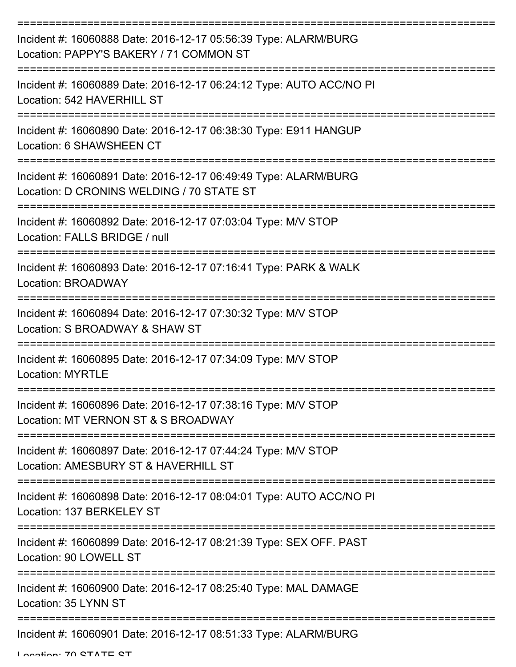| Incident #: 16060888 Date: 2016-12-17 05:56:39 Type: ALARM/BURG<br>Location: PAPPY'S BAKERY / 71 COMMON ST   |
|--------------------------------------------------------------------------------------------------------------|
| Incident #: 16060889 Date: 2016-12-17 06:24:12 Type: AUTO ACC/NO PI<br>Location: 542 HAVERHILL ST            |
| Incident #: 16060890 Date: 2016-12-17 06:38:30 Type: E911 HANGUP<br>Location: 6 SHAWSHEEN CT                 |
| Incident #: 16060891 Date: 2016-12-17 06:49:49 Type: ALARM/BURG<br>Location: D CRONINS WELDING / 70 STATE ST |
| Incident #: 16060892 Date: 2016-12-17 07:03:04 Type: M/V STOP<br>Location: FALLS BRIDGE / null               |
| Incident #: 16060893 Date: 2016-12-17 07:16:41 Type: PARK & WALK<br>Location: BROADWAY                       |
| Incident #: 16060894 Date: 2016-12-17 07:30:32 Type: M/V STOP<br>Location: S BROADWAY & SHAW ST              |
| Incident #: 16060895 Date: 2016-12-17 07:34:09 Type: M/V STOP<br><b>Location: MYRTLE</b>                     |
| Incident #: 16060896 Date: 2016-12-17 07:38:16 Type: M/V STOP<br>Location: MT VERNON ST & S BROADWAY         |
| Incident #: 16060897 Date: 2016-12-17 07:44:24 Type: M/V STOP<br>Location: AMESBURY ST & HAVERHILL ST        |
| Incident #: 16060898 Date: 2016-12-17 08:04:01 Type: AUTO ACC/NO PI<br>Location: 137 BERKELEY ST             |
| Incident #: 16060899 Date: 2016-12-17 08:21:39 Type: SEX OFF. PAST<br>Location: 90 LOWELL ST                 |
| Incident #: 16060900 Date: 2016-12-17 08:25:40 Type: MAL DAMAGE<br>Location: 35 LYNN ST                      |
| Incident #: 16060901 Date: 2016-12-17 08:51:33 Type: ALARM/BURG                                              |

Location: 70 STATE ST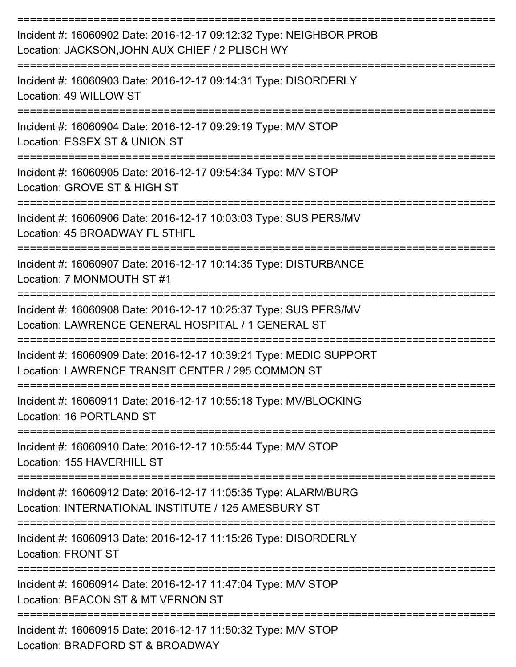| Incident #: 16060902 Date: 2016-12-17 09:12:32 Type: NEIGHBOR PROB<br>Location: JACKSON, JOHN AUX CHIEF / 2 PLISCH WY   |
|-------------------------------------------------------------------------------------------------------------------------|
| Incident #: 16060903 Date: 2016-12-17 09:14:31 Type: DISORDERLY<br>Location: 49 WILLOW ST                               |
| Incident #: 16060904 Date: 2016-12-17 09:29:19 Type: M/V STOP<br>Location: ESSEX ST & UNION ST                          |
| Incident #: 16060905 Date: 2016-12-17 09:54:34 Type: M/V STOP<br>Location: GROVE ST & HIGH ST                           |
| Incident #: 16060906 Date: 2016-12-17 10:03:03 Type: SUS PERS/MV<br>Location: 45 BROADWAY FL 5THFL                      |
| Incident #: 16060907 Date: 2016-12-17 10:14:35 Type: DISTURBANCE<br>Location: 7 MONMOUTH ST #1                          |
| Incident #: 16060908 Date: 2016-12-17 10:25:37 Type: SUS PERS/MV<br>Location: LAWRENCE GENERAL HOSPITAL / 1 GENERAL ST  |
| Incident #: 16060909 Date: 2016-12-17 10:39:21 Type: MEDIC SUPPORT<br>Location: LAWRENCE TRANSIT CENTER / 295 COMMON ST |
| Incident #: 16060911 Date: 2016-12-17 10:55:18 Type: MV/BLOCKING<br>Location: 16 PORTLAND ST                            |
| Incident #: 16060910 Date: 2016-12-17 10:55:44 Type: M/V STOP<br>Location: 155 HAVERHILL ST                             |
| Incident #: 16060912 Date: 2016-12-17 11:05:35 Type: ALARM/BURG<br>Location: INTERNATIONAL INSTITUTE / 125 AMESBURY ST  |
| Incident #: 16060913 Date: 2016-12-17 11:15:26 Type: DISORDERLY<br><b>Location: FRONT ST</b>                            |
| Incident #: 16060914 Date: 2016-12-17 11:47:04 Type: M/V STOP<br>Location: BEACON ST & MT VERNON ST                     |
| Incident #: 16060915 Date: 2016-12-17 11:50:32 Type: M/V STOP<br>Location: BRADFORD ST & BROADWAY                       |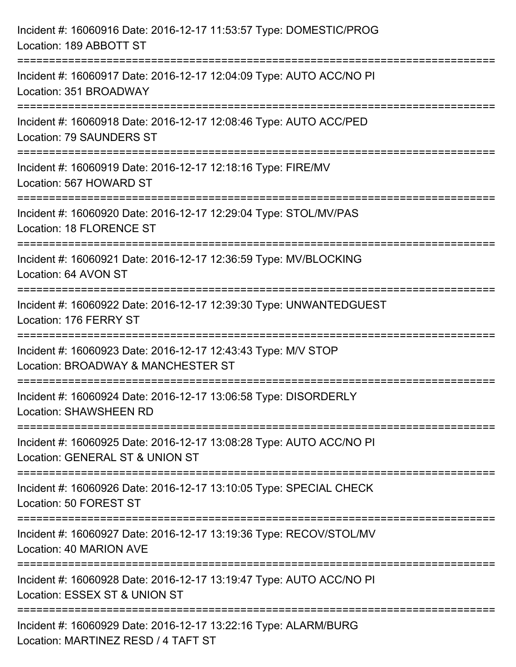| Incident #: 16060916 Date: 2016-12-17 11:53:57 Type: DOMESTIC/PROG<br>Location: 189 ABBOTT ST                                              |
|--------------------------------------------------------------------------------------------------------------------------------------------|
| :===============================<br>Incident #: 16060917 Date: 2016-12-17 12:04:09 Type: AUTO ACC/NO PI<br>Location: 351 BROADWAY          |
| Incident #: 16060918 Date: 2016-12-17 12:08:46 Type: AUTO ACC/PED<br><b>Location: 79 SAUNDERS ST</b><br>================================== |
| Incident #: 16060919 Date: 2016-12-17 12:18:16 Type: FIRE/MV<br>Location: 567 HOWARD ST<br>--------------------------------------          |
| Incident #: 16060920 Date: 2016-12-17 12:29:04 Type: STOL/MV/PAS<br><b>Location: 18 FLORENCE ST</b>                                        |
| Incident #: 16060921 Date: 2016-12-17 12:36:59 Type: MV/BLOCKING<br>Location: 64 AVON ST                                                   |
| Incident #: 16060922 Date: 2016-12-17 12:39:30 Type: UNWANTEDGUEST<br>Location: 176 FERRY ST                                               |
| Incident #: 16060923 Date: 2016-12-17 12:43:43 Type: M/V STOP<br>Location: BROADWAY & MANCHESTER ST                                        |
| Incident #: 16060924 Date: 2016-12-17 13:06:58 Type: DISORDERLY<br><b>Location: SHAWSHEEN RD</b>                                           |
| Incident #: 16060925 Date: 2016-12-17 13:08:28 Type: AUTO ACC/NO PI<br>Location: GENERAL ST & UNION ST                                     |
| Incident #: 16060926 Date: 2016-12-17 13:10:05 Type: SPECIAL CHECK<br>Location: 50 FOREST ST                                               |
| Incident #: 16060927 Date: 2016-12-17 13:19:36 Type: RECOV/STOL/MV<br>Location: 40 MARION AVE                                              |
| Incident #: 16060928 Date: 2016-12-17 13:19:47 Type: AUTO ACC/NO PI<br>Location: ESSEX ST & UNION ST                                       |
| Incident #: 16060929 Date: 2016-12-17 13:22:16 Type: ALARM/BURG<br>Location: MARTINEZ RESD / 4 TAFT ST                                     |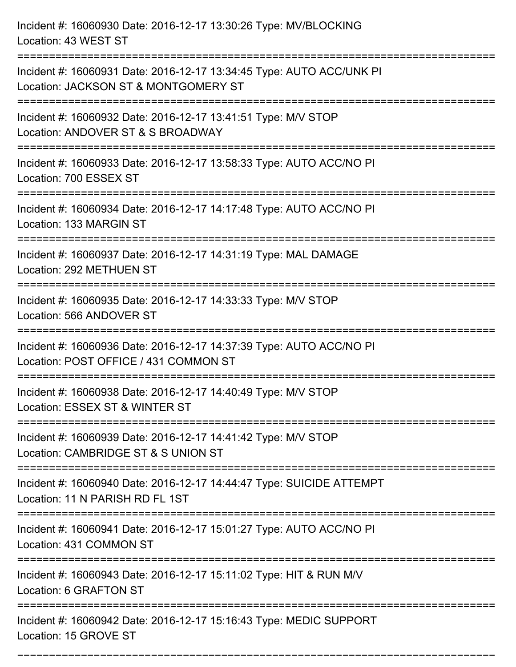Incident #: 16060930 Date: 2016-12-17 13:30:26 Type: MV/BLOCKING Location: 43 WEST ST =========================================================================== Incident #: 16060931 Date: 2016-12-17 13:34:45 Type: AUTO ACC/UNK PI Location: JACKSON ST & MONTGOMERY ST =========================================================================== Incident #: 16060932 Date: 2016-12-17 13:41:51 Type: M/V STOP Location: ANDOVER ST & S BROADWAY =========================================================================== Incident #: 16060933 Date: 2016-12-17 13:58:33 Type: AUTO ACC/NO PI Location: 700 ESSEX ST =========================================================================== Incident #: 16060934 Date: 2016-12-17 14:17:48 Type: AUTO ACC/NO PI Location: 133 MARGIN ST =========================================================================== Incident #: 16060937 Date: 2016-12-17 14:31:19 Type: MAL DAMAGE Location: 292 METHUEN ST =========================================================================== Incident #: 16060935 Date: 2016-12-17 14:33:33 Type: M/V STOP Location: 566 ANDOVER ST =========================================================================== Incident #: 16060936 Date: 2016-12-17 14:37:39 Type: AUTO ACC/NO PI Location: POST OFFICE / 431 COMMON ST =========================================================================== Incident #: 16060938 Date: 2016-12-17 14:40:49 Type: M/V STOP Location: ESSEX ST & WINTER ST =========================================================================== Incident #: 16060939 Date: 2016-12-17 14:41:42 Type: M/V STOP Location: CAMBRIDGE ST & S UNION ST =========================================================================== Incident #: 16060940 Date: 2016-12-17 14:44:47 Type: SUICIDE ATTEMPT Location: 11 N PARISH RD FL 1ST =========================================================================== Incident #: 16060941 Date: 2016-12-17 15:01:27 Type: AUTO ACC/NO PI Location: 431 COMMON ST =========================================================================== Incident #: 16060943 Date: 2016-12-17 15:11:02 Type: HIT & RUN M/V Location: 6 GRAFTON ST =========================================================================== Incident #: 16060942 Date: 2016-12-17 15:16:43 Type: MEDIC SUPPORT Location: 15 GROVE ST

===========================================================================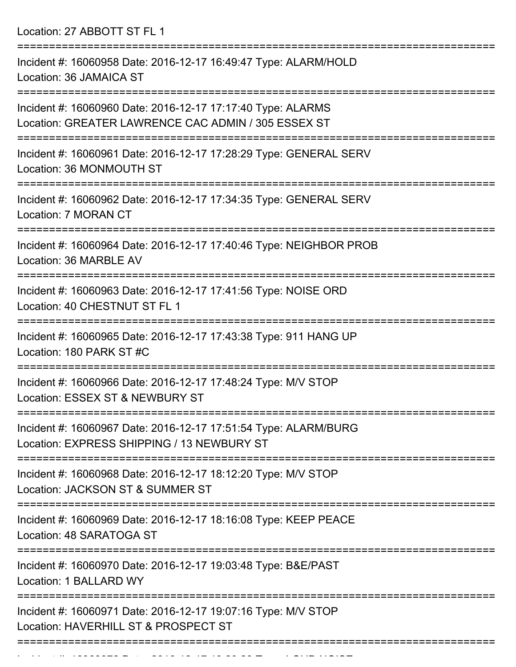Location: 27 ABBOTT ST FL 1

| Incident #: 16060958 Date: 2016-12-17 16:49:47 Type: ALARM/HOLD<br>Location: 36 JAMAICA ST                               |
|--------------------------------------------------------------------------------------------------------------------------|
| Incident #: 16060960 Date: 2016-12-17 17:17:40 Type: ALARMS<br>Location: GREATER LAWRENCE CAC ADMIN / 305 ESSEX ST       |
| Incident #: 16060961 Date: 2016-12-17 17:28:29 Type: GENERAL SERV<br>Location: 36 MONMOUTH ST                            |
| Incident #: 16060962 Date: 2016-12-17 17:34:35 Type: GENERAL SERV<br>Location: 7 MORAN CT                                |
| Incident #: 16060964 Date: 2016-12-17 17:40:46 Type: NEIGHBOR PROB<br>Location: 36 MARBLE AV<br>:======================= |
| Incident #: 16060963 Date: 2016-12-17 17:41:56 Type: NOISE ORD<br>Location: 40 CHESTNUT ST FL 1                          |
| Incident #: 16060965 Date: 2016-12-17 17:43:38 Type: 911 HANG UP<br>Location: 180 PARK ST #C                             |
| Incident #: 16060966 Date: 2016-12-17 17:48:24 Type: M/V STOP<br>Location: ESSEX ST & NEWBURY ST                         |
| Incident #: 16060967 Date: 2016-12-17 17:51:54 Type: ALARM/BURG<br>Location: EXPRESS SHIPPING / 13 NEWBURY ST            |
| Incident #: 16060968 Date: 2016-12-17 18:12:20 Type: M/V STOP<br>Location: JACKSON ST & SUMMER ST                        |
| Incident #: 16060969 Date: 2016-12-17 18:16:08 Type: KEEP PEACE<br>Location: 48 SARATOGA ST                              |
| Incident #: 16060970 Date: 2016-12-17 19:03:48 Type: B&E/PAST<br>Location: 1 BALLARD WY                                  |
| Incident #: 16060971 Date: 2016-12-17 19:07:16 Type: M/V STOP<br>Location: HAVERHILL ST & PROSPECT ST                    |
|                                                                                                                          |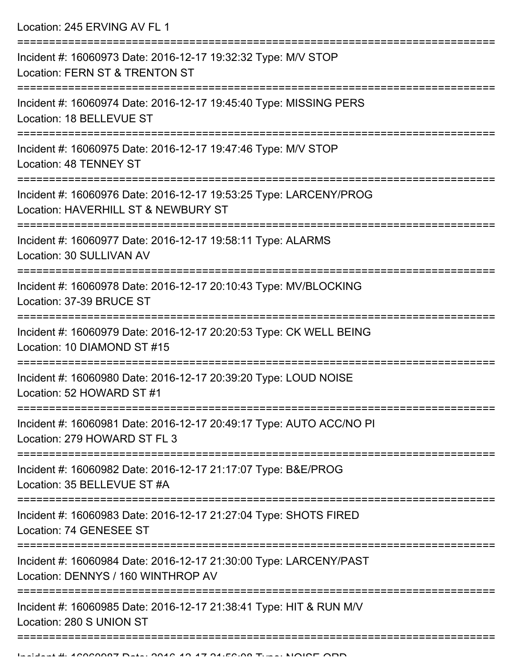Location: 245 ERVING AV FL 1

| Incident #: 16060973 Date: 2016-12-17 19:32:32 Type: M/V STOP<br>Location: FERN ST & TRENTON ST          |
|----------------------------------------------------------------------------------------------------------|
| Incident #: 16060974 Date: 2016-12-17 19:45:40 Type: MISSING PERS<br>Location: 18 BELLEVUE ST            |
| Incident #: 16060975 Date: 2016-12-17 19:47:46 Type: M/V STOP<br>Location: 48 TENNEY ST                  |
| Incident #: 16060976 Date: 2016-12-17 19:53:25 Type: LARCENY/PROG<br>Location: HAVERHILL ST & NEWBURY ST |
| Incident #: 16060977 Date: 2016-12-17 19:58:11 Type: ALARMS<br>Location: 30 SULLIVAN AV                  |
| Incident #: 16060978 Date: 2016-12-17 20:10:43 Type: MV/BLOCKING<br>Location: 37-39 BRUCE ST             |
| Incident #: 16060979 Date: 2016-12-17 20:20:53 Type: CK WELL BEING<br>Location: 10 DIAMOND ST #15        |
| Incident #: 16060980 Date: 2016-12-17 20:39:20 Type: LOUD NOISE<br>Location: 52 HOWARD ST #1             |
| Incident #: 16060981 Date: 2016-12-17 20:49:17 Type: AUTO ACC/NO PI<br>Location: 279 HOWARD ST FL 3      |
| Incident #: 16060982 Date: 2016-12-17 21:17:07 Type: B&E/PROG<br>Location: 35 BELLEVUE ST #A             |
| Incident #: 16060983 Date: 2016-12-17 21:27:04 Type: SHOTS FIRED<br>Location: 74 GENESEE ST              |
| Incident #: 16060984 Date: 2016-12-17 21:30:00 Type: LARCENY/PAST<br>Location: DENNYS / 160 WINTHROP AV  |
| Incident #: 16060985 Date: 2016-12-17 21:38:41 Type: HIT & RUN M/V<br>Location: 280 S UNION ST           |
|                                                                                                          |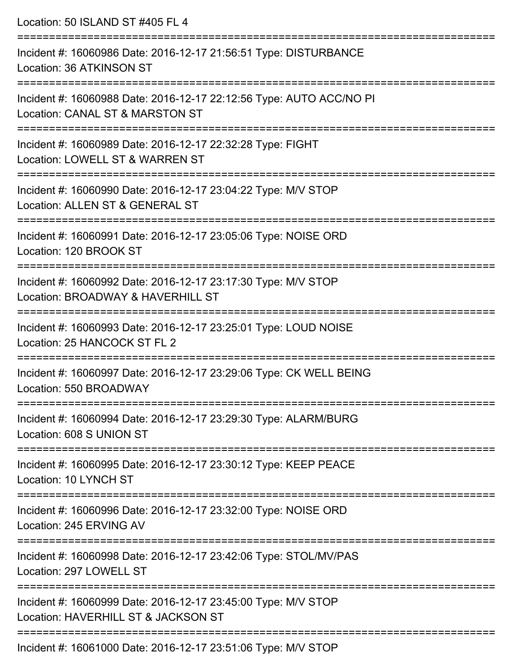| Location: 50 ISLAND ST #405 FL 4                                                                                                                            |
|-------------------------------------------------------------------------------------------------------------------------------------------------------------|
| Incident #: 16060986 Date: 2016-12-17 21:56:51 Type: DISTURBANCE<br>Location: 36 ATKINSON ST<br>=================================                           |
| Incident #: 16060988 Date: 2016-12-17 22:12:56 Type: AUTO ACC/NO PI<br>Location: CANAL ST & MARSTON ST<br>:======================                           |
| Incident #: 16060989 Date: 2016-12-17 22:32:28 Type: FIGHT<br>Location: LOWELL ST & WARREN ST                                                               |
| Incident #: 16060990 Date: 2016-12-17 23:04:22 Type: M/V STOP<br>Location: ALLEN ST & GENERAL ST                                                            |
| :=======================<br>Incident #: 16060991 Date: 2016-12-17 23:05:06 Type: NOISE ORD<br>Location: 120 BROOK ST                                        |
| Incident #: 16060992 Date: 2016-12-17 23:17:30 Type: M/V STOP<br>Location: BROADWAY & HAVERHILL ST                                                          |
| :=====================<br>==============================<br>Incident #: 16060993 Date: 2016-12-17 23:25:01 Type: LOUD NOISE<br>Location: 25 HANCOCK ST FL 2 |
| Incident #: 16060997 Date: 2016-12-17 23:29:06 Type: CK WELL BEING<br>Location: 550 BROADWAY                                                                |
| Incident #: 16060994 Date: 2016-12-17 23:29:30 Type: ALARM/BURG<br>Location: 608 S UNION ST                                                                 |
| Incident #: 16060995 Date: 2016-12-17 23:30:12 Type: KEEP PEACE<br>Location: 10 LYNCH ST                                                                    |
| Incident #: 16060996 Date: 2016-12-17 23:32:00 Type: NOISE ORD<br>Location: 245 ERVING AV                                                                   |
| Incident #: 16060998 Date: 2016-12-17 23:42:06 Type: STOL/MV/PAS<br>Location: 297 LOWELL ST                                                                 |
| Incident #: 16060999 Date: 2016-12-17 23:45:00 Type: M/V STOP<br>Location: HAVERHILL ST & JACKSON ST                                                        |
| $Incident #: 40064000 \text{ Doto}$ ; 2016.12.17.22:54:06 Tupe: MALCTOD                                                                                     |

Incident #: 16061000 Date: 2016-12-17 23:51:06 Type: M/V STOP